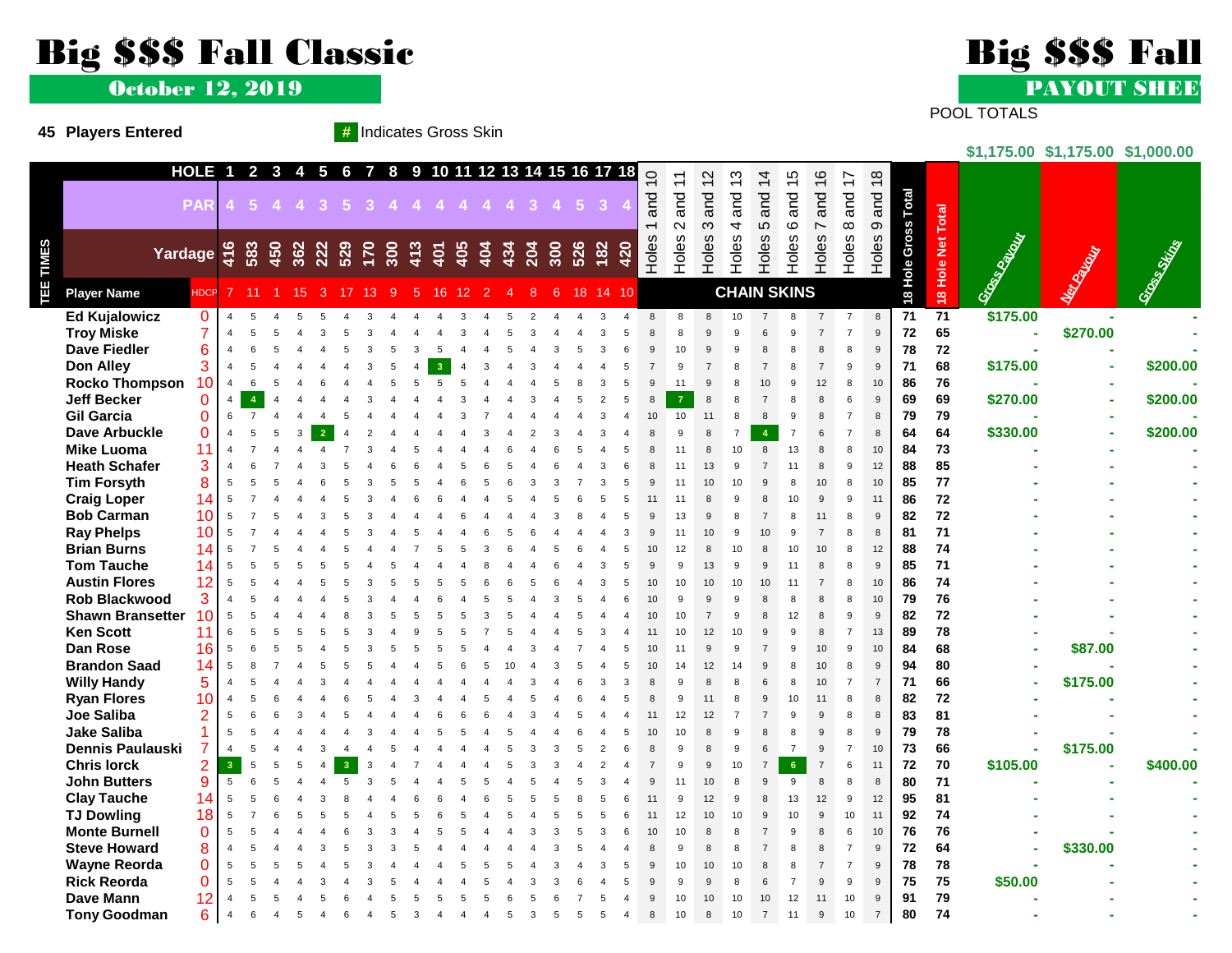## Big \$\$\$ Fall Classic Big \$\$\$ Fall

October 12, 2019

**45 Players Entered #** Indicates Gross Skin



POOL TOTALS

**\$1,175.00 \$1,175.00 \$1,000.00**

|                         | HOLE 1 2 3 4 5 6 7 8 9 10 11 12 13 14 15 16 17 18 |     |                     |            |                 |      |     |                                 |    |   |     |     |     |     |     |     |     |     |       | $\overline{C}$ | $\overline{\phantom{0}}$ | $\mathbf{\Omega}$ | $\frac{3}{2}$  | 4              | ပ                  | $\frac{6}{1}$  | $\overline{\phantom{0}}$ |                |                    |                   |                 |             |              |
|-------------------------|---------------------------------------------------|-----|---------------------|------------|-----------------|------|-----|---------------------------------|----|---|-----|-----|-----|-----|-----|-----|-----|-----|-------|----------------|--------------------------|-------------------|----------------|----------------|--------------------|----------------|--------------------------|----------------|--------------------|-------------------|-----------------|-------------|--------------|
|                         | <b>PAR</b>                                        |     | $-5$                |            |                 |      |     | 4 4 3 5 3 4 4 4 4 4 4 4 3 4 5 3 |    |   |     |     |     |     |     |     |     |     |       | and            | and                      | and               | and            | and            | and                | and            | and                      | 9 and 18       |                    |                   |                 |             |              |
|                         |                                                   |     |                     |            |                 |      |     |                                 |    |   |     |     |     |     |     |     |     |     |       |                |                          |                   |                |                |                    |                |                          |                |                    |                   |                 |             |              |
|                         |                                                   |     |                     |            |                 |      |     |                                 |    |   |     |     |     |     |     |     |     |     |       | $\leftarrow$   | $\sim$                   | $\infty$          | $\overline{4}$ | 5              | $\circ$            | $\overline{ }$ | $\infty$                 |                |                    |                   |                 |             |              |
|                         | Yardage                                           | 416 |                     | 583<br>450 | 362<br>222      |      | 529 | $\frac{170}{300}$               |    |   | 413 | 405 | 404 | 434 | 204 | 300 | 526 | 182 | 420   | Holes          | Holes                    | Holes             | Holes          | Holes          | Holes              | Holes          | Holes                    | Holes          |                    |                   |                 |             |              |
|                         |                                                   |     |                     |            |                 |      |     |                                 |    |   |     |     |     |     |     |     |     |     |       |                |                          |                   |                |                |                    |                |                          |                | 8 Hole Gross Total |                   |                 |             |              |
| <b>Player Name</b>      | HDCP                                              |     | <sup>7</sup><br>11  |            | 15 <sup>2</sup> | 3 17 |     | 13                              | -9 | 5 | 16  | 12  | 2   | Δ   | 8   | 6   | 18  |     | 14 10 |                |                          |                   |                |                | <b>CHAIN SKINS</b> |                |                          |                |                    | 18 Hole Net Total | Gross Cattleway | Marian Card | Grass String |
| <b>Ed Kujalowicz</b>    | $\mathbf{0}$                                      |     |                     |            |                 |      |     |                                 |    |   |     |     |     |     |     |     |     |     |       |                | 8                        |                   | 10             |                |                    |                |                          | 8              | 71                 | 71                | \$175.00        |             |              |
| <b>Troy Miske</b>       | 7                                                 |     |                     |            |                 |      |     |                                 |    |   |     |     |     |     |     |     |     |     |       |                |                          |                   | $\mathbf{Q}$   |                |                    |                |                          | 9              | 72                 | 65                | ÷,              | \$270.00    |              |
| <b>Dave Fiedler</b>     | 6                                                 |     |                     |            |                 |      |     |                                 |    |   |     |     |     |     |     |     |     |     |       |                | 10                       |                   |                |                |                    |                |                          | $\mathbf{Q}$   | 78                 | 72                |                 |             |              |
| <b>Don Alley</b>        | 3                                                 |     |                     |            |                 |      |     |                                 |    |   |     |     |     |     |     |     |     |     |       |                |                          |                   |                |                |                    |                |                          | 9              | 71                 | 68                | \$175.00        |             | \$200.00     |
| <b>Rocko Thompson</b>   | 10                                                |     |                     |            |                 |      |     |                                 |    |   |     |     |     |     |     |     |     |     |       |                |                          |                   |                |                |                    | 12             |                          | 10             | 86                 | 76                |                 |             |              |
| <b>Jeff Becker</b>      | $\mathbf 0$                                       |     |                     |            |                 |      |     |                                 |    |   |     |     |     |     |     |     |     |     |       |                |                          |                   |                |                |                    |                |                          | 9              | 69                 | 69                | \$270.00        |             | \$200.00     |
| <b>Gil Garcia</b>       | $\Omega$                                          |     | 6                   |            |                 |      |     |                                 |    |   |     |     |     |     |     |     |     |     |       | 10             | 10                       |                   |                |                |                    |                |                          | 8              | 79                 | 79                |                 |             |              |
| <b>Dave Arbuckle</b>    | $\mathbf 0$                                       |     |                     |            |                 |      |     |                                 |    |   |     |     |     |     |     |     |     |     |       |                |                          |                   |                |                |                    |                |                          |                | 64                 | 64                | \$330.00        |             | \$200.00     |
| <b>Mike Luoma</b>       | 11                                                |     |                     |            |                 |      |     |                                 |    |   |     |     |     |     |     |     |     |     |       |                |                          |                   | 10             |                | 13                 |                | 8                        | 10             | 84                 | 73                |                 |             |              |
| <b>Heath Schafer</b>    | 3                                                 |     |                     |            |                 |      |     |                                 |    |   |     |     |     |     |     |     |     |     |       |                |                          |                   |                |                |                    |                |                          | 12             | 88                 | 85                |                 |             |              |
| <b>Tim Forsyth</b>      | 8                                                 |     | 5                   |            |                 |      |     |                                 |    |   |     |     |     |     |     |     |     |     |       |                | 11                       |                   | 10             |                |                    | 10             |                          | 10             | 85                 | 77                |                 |             |              |
| <b>Craig Loper</b>      | 14                                                |     |                     |            |                 |      |     |                                 |    |   |     |     |     |     |     |     |     |     |       |                |                          |                   |                |                | 10                 |                |                          | 11             | 86                 | 72                |                 |             |              |
| <b>Bob Carman</b>       | 10                                                |     |                     |            |                 |      |     |                                 |    |   |     |     |     |     |     |     |     |     |       |                | 13                       |                   | $\mathbf{a}$   |                |                    | 11             | 8                        | 9              | 82                 | 72                |                 |             |              |
| <b>Ray Phelps</b>       | 10                                                |     |                     |            |                 |      |     |                                 |    |   |     |     |     |     |     |     |     |     |       |                | 11                       |                   | 9              |                |                    |                |                          | 8              | 81                 | 71                |                 |             |              |
| <b>Brian Burns</b>      | 14                                                |     |                     |            |                 |      |     |                                 |    |   |     |     |     |     |     |     |     |     |       |                | 12                       |                   | 10             |                | 10                 | 10             | 8                        | 12             | 88                 | 74                |                 |             |              |
| <b>Tom Tauche</b>       | 14                                                |     |                     |            |                 |      |     |                                 |    |   |     |     |     |     |     |     |     |     |       |                | 9                        | 13                | 9              |                |                    |                |                          | $\mathbf{q}$   | 85                 | 71                |                 |             |              |
| <b>Austin Flores</b>    | 12                                                |     |                     |            |                 |      |     |                                 |    |   |     |     |     |     |     |     |     |     |       |                | 10                       | 10                | 10             |                |                    |                | 8                        | 10             | 86                 | 74                |                 |             |              |
| <b>Rob Blackwood</b>    | 3                                                 |     |                     |            |                 |      |     |                                 |    |   |     |     |     |     |     |     |     |     |       | 10             |                          |                   | $\mathbf{Q}$   |                |                    |                |                          | 10             | 79                 | 76                |                 |             |              |
| <b>Shawn Bransetter</b> | 10 <sup>°</sup>                                   |     | 5                   |            |                 |      |     |                                 |    |   |     |     |     |     |     |     |     |     |       | 10             | 10                       |                   | 9              |                | 12                 |                |                          | 9              | 82                 | 72                |                 |             |              |
| <b>Ken Scott</b>        | 11                                                |     | 6                   |            |                 |      |     |                                 |    |   |     |     |     |     |     |     |     |     |       | 11             | 10                       | 12                | 10             |                |                    |                |                          | 13             | 89                 | 78                |                 |             |              |
| <b>Dan Rose</b>         | 16                                                |     |                     |            |                 |      |     |                                 |    |   |     |     |     |     |     |     |     |     |       |                |                          |                   |                |                |                    | 10             |                          | 10             | 84                 | 68                |                 | \$87.00     |              |
| <b>Brandon Saad</b>     | 14                                                |     | 5                   |            |                 |      |     |                                 |    |   |     |     |     |     |     |     |     |     |       | 10             | 14                       | 12                | 14             |                |                    | 10             |                          | $\mathbf{Q}$   | 94                 | 80                |                 |             |              |
| <b>Willy Handy</b>      | 5                                                 |     |                     |            |                 |      |     |                                 |    |   |     |     |     |     |     |     |     |     |       |                |                          |                   |                |                |                    | 10             |                          | $\overline{7}$ | 71                 | 66                |                 | \$175.00    |              |
| <b>Ryan Flores</b>      | 10                                                |     |                     |            |                 |      |     |                                 |    |   |     |     |     |     |     |     |     |     |       |                | 9                        |                   | 8              | 9              | 10                 | 11             |                          |                | 82                 | 72                |                 |             |              |
| Joe Saliba              |                                                   |     |                     |            |                 |      |     |                                 |    |   |     |     |     |     |     |     |     |     |       |                | 12                       |                   |                |                |                    |                |                          |                | 83                 | 81                |                 |             |              |
| <b>Jake Saliba</b>      |                                                   |     |                     |            |                 |      |     |                                 |    |   |     |     |     |     |     |     |     |     |       | 10             | 10                       |                   | 9              |                |                    |                |                          | 9              | 79                 | 78                |                 |             |              |
| Dennis Paulauski        | $\overline{7}$                                    |     |                     |            |                 |      |     |                                 |    |   |     |     |     |     |     |     |     |     |       |                |                          |                   |                |                |                    |                |                          | 10             | 73                 | 66                |                 | \$175.00    |              |
| <b>Chris lorck</b>      | $\overline{2}$                                    |     | $\overline{3}$<br>5 |            |                 |      |     |                                 |    |   |     |     |     |     |     |     |     |     |       |                | 9                        |                   | 10             |                | $6 \overline{6}$   |                | 6                        | 11             | 72                 | 70                | \$105.00        |             | \$400.00     |
| <b>John Butters</b>     | 9                                                 |     | 5                   |            |                 |      |     |                                 |    |   |     |     |     |     |     |     |     |     |       |                |                          | 10                |                |                |                    |                |                          | 8              | 80                 | 71                |                 |             |              |
| <b>Clay Tauche</b>      | 14                                                |     |                     |            |                 |      |     |                                 |    |   |     |     |     |     |     |     |     |     |       |                | $\mathbf{Q}$             |                   |                |                | 13                 | 12             | 9                        | 12             | 95                 | 81                |                 |             |              |
| <b>TJ Dowling</b>       | 18                                                |     |                     |            |                 |      |     |                                 |    |   |     |     |     |     |     |     |     |     |       |                | 12                       | 10                | 10             |                | 10                 |                | 10                       | 11             | 92                 | 74                |                 |             |              |
| <b>Monte Burnell</b>    | $\mathbf 0$                                       |     |                     |            |                 |      |     |                                 |    |   |     |     |     |     |     |     |     |     |       |                | 10                       |                   | 8              |                |                    |                | 6                        | 10             | 76                 | 76                |                 |             |              |
| <b>Steve Howard</b>     | 8                                                 |     |                     |            |                 |      |     |                                 |    |   |     |     |     |     |     |     |     |     |       | 8              | $\mathbf{Q}$             |                   | 8              |                |                    |                |                          | $\mathbf{Q}$   | 72                 | 64                |                 | \$330.00    |              |
| <b>Wayne Reorda</b>     | $\mathbf 0$                                       |     |                     |            |                 |      |     |                                 |    |   |     |     |     |     |     |     |     |     |       |                | 10                       | 10                | 10             |                |                    |                |                          | $\mathbf{Q}$   | 78                 | 78                |                 |             |              |
| <b>Rick Reorda</b>      | 0                                                 |     |                     |            |                 |      |     |                                 |    |   |     |     |     |     |     |     |     |     |       |                | g                        |                   | 8              |                |                    |                |                          |                | 75                 | 75                | \$50.00         |             |              |
| Dave Mann               | 12                                                |     |                     |            |                 |      |     |                                 |    |   |     |     |     |     |     |     |     |     |       |                | 10                       |                   |                |                | 12                 | 11             | 10                       | $\mathbf{Q}$   | 91                 | 79                |                 |             |              |
| <b>Tony Goodman</b>     | 6                                                 |     |                     |            |                 |      |     |                                 |    |   |     |     |     |     |     |     |     |     |       | $\mathsf{R}$   | 10                       |                   | 10             | $\overline{7}$ | 11                 | 9              | 10                       | $\overline{7}$ | 80                 | 74                |                 |             |              |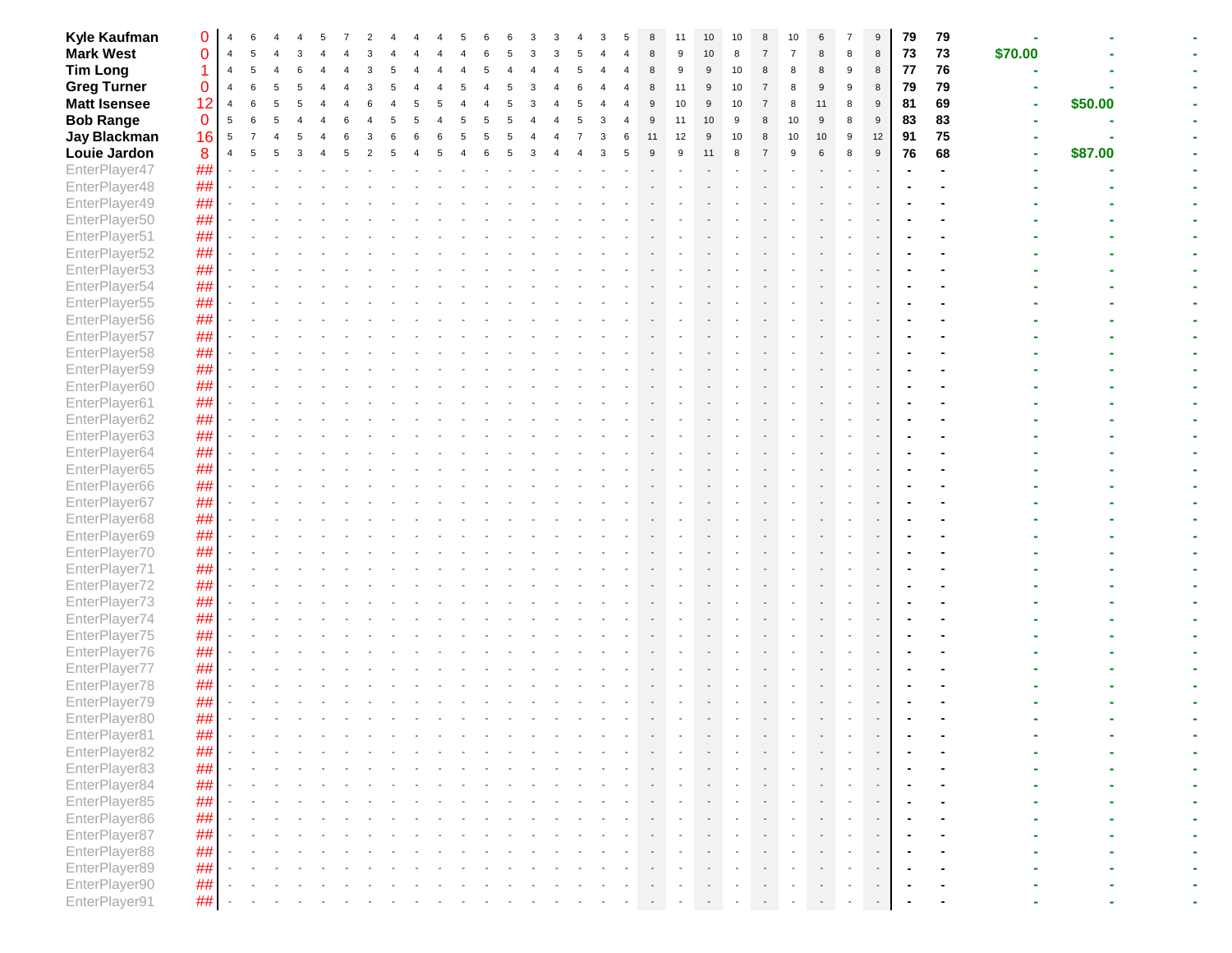| Kyle Kaufman                   | 0           |                |  |  |  |  |  |  |  |   |    |    |              |    |   |    |    |   | 9              | 79 | 79         |         |         |  |
|--------------------------------|-------------|----------------|--|--|--|--|--|--|--|---|----|----|--------------|----|---|----|----|---|----------------|----|------------|---------|---------|--|
| <b>Mark West</b>               | 0           | $\overline{4}$ |  |  |  |  |  |  |  |   |    |    | 10           | 8  |   |    | 8  | 8 | 8              | 73 | 73         | \$70.00 |         |  |
| <b>Tim Long</b>                |             |                |  |  |  |  |  |  |  |   |    | 9  | 9            | 10 | 8 | 8  | 8  | 9 | 8              | 77 | ${\bf 76}$ |         |         |  |
| <b>Greg Turner</b>             | 0           |                |  |  |  |  |  |  |  |   | 8  | 11 | 9            | 10 |   | 8  | g  |   | 8              | 79 | 79         |         |         |  |
| <b>Matt Isensee</b>            | 12          | 4              |  |  |  |  |  |  |  |   |    | 10 | 9            | 10 |   | 8  |    | 8 | 9              | 81 | 69         |         | \$50.00 |  |
| <b>Bob Range</b>               | $\mathbf 0$ | 5              |  |  |  |  |  |  |  |   | 9  | 11 | 10           | 9  |   | 10 | 9  | 8 | 9              | 83 | 83         |         |         |  |
| <b>Jay Blackman</b>            | 16          | 5              |  |  |  |  |  |  |  | 6 | 11 | 12 | $\mathbf{Q}$ | 10 | 8 | 10 | 10 | 9 | 12             | 91 | 75         |         |         |  |
| Louie Jardon                   | 8           |                |  |  |  |  |  |  |  |   |    | 9  |              |    |   | 9  |    |   | 9              | 76 | 68         |         |         |  |
|                                |             |                |  |  |  |  |  |  |  |   |    |    |              |    |   |    |    |   |                |    |            |         | \$87.00 |  |
| EnterPlayer47                  | ##          |                |  |  |  |  |  |  |  |   |    |    |              |    |   |    |    |   |                |    |            |         |         |  |
| EnterPlayer48                  | ##          |                |  |  |  |  |  |  |  |   |    |    |              |    |   |    |    |   |                |    |            |         |         |  |
| EnterPlayer49                  | ##          |                |  |  |  |  |  |  |  |   |    |    |              |    |   |    |    |   |                |    |            |         |         |  |
| EnterPlayer50                  | ##          |                |  |  |  |  |  |  |  |   |    |    |              |    |   |    |    |   |                |    |            |         |         |  |
| EnterPlayer51                  | ##          |                |  |  |  |  |  |  |  |   |    |    |              |    |   |    |    |   |                |    |            |         |         |  |
| EnterPlayer52                  | ##          |                |  |  |  |  |  |  |  |   |    |    |              |    |   |    |    |   |                |    |            |         |         |  |
| EnterPlayer53                  | ##          |                |  |  |  |  |  |  |  |   |    |    |              |    |   |    |    |   |                |    |            |         |         |  |
| EnterPlayer54                  | ##          |                |  |  |  |  |  |  |  |   |    |    |              |    |   |    |    |   |                |    |            |         |         |  |
| EnterPlayer55                  | ##          |                |  |  |  |  |  |  |  |   |    |    |              |    |   |    |    |   |                |    |            |         |         |  |
| EnterPlayer56                  | ##          |                |  |  |  |  |  |  |  |   |    |    |              |    |   |    |    |   |                |    |            |         |         |  |
| EnterPlayer57                  | ##          |                |  |  |  |  |  |  |  |   |    |    |              |    |   |    |    |   |                |    |            |         |         |  |
| EnterPlayer58                  | ##          |                |  |  |  |  |  |  |  |   |    |    |              |    |   |    |    |   |                |    |            |         |         |  |
| EnterPlayer59                  | ##          |                |  |  |  |  |  |  |  |   |    |    |              |    |   |    |    |   |                |    |            |         |         |  |
| EnterPlayer60                  | ##          |                |  |  |  |  |  |  |  |   |    |    |              |    |   |    |    |   |                |    |            |         |         |  |
| EnterPlayer61                  | ##          |                |  |  |  |  |  |  |  |   |    |    |              |    |   |    |    |   |                |    |            |         |         |  |
| EnterPlayer62                  | ##          |                |  |  |  |  |  |  |  |   |    |    |              |    |   |    |    |   |                |    |            |         |         |  |
| EnterPlayer63                  | ##          |                |  |  |  |  |  |  |  |   |    |    |              |    |   |    |    |   |                |    |            |         |         |  |
| EnterPlayer64                  | ##          |                |  |  |  |  |  |  |  |   |    |    |              |    |   |    |    |   |                |    |            |         |         |  |
| EnterPlayer65                  | ##          |                |  |  |  |  |  |  |  |   |    |    |              |    |   |    |    |   |                |    |            |         |         |  |
| EnterPlayer66                  | ##          |                |  |  |  |  |  |  |  |   |    |    |              |    |   |    |    |   |                |    |            |         |         |  |
| EnterPlayer67                  | ##          |                |  |  |  |  |  |  |  |   |    |    |              |    |   |    |    |   |                |    |            |         |         |  |
| EnterPlayer68                  | ##          |                |  |  |  |  |  |  |  |   |    |    |              |    |   |    |    |   |                |    |            |         |         |  |
| EnterPlayer69                  | ##          |                |  |  |  |  |  |  |  |   |    |    |              |    |   |    |    |   |                |    |            |         |         |  |
| EnterPlayer70                  | ##          |                |  |  |  |  |  |  |  |   |    |    |              |    |   |    |    |   |                |    |            |         |         |  |
| EnterPlayer71                  | ##          |                |  |  |  |  |  |  |  |   |    |    |              |    |   |    |    |   |                |    |            |         |         |  |
| EnterPlayer72                  | ##          |                |  |  |  |  |  |  |  |   |    |    |              |    |   |    |    |   |                |    |            |         |         |  |
|                                | ##          |                |  |  |  |  |  |  |  |   |    |    |              |    |   |    |    |   |                |    |            |         |         |  |
| EnterPlayer73<br>EnterPlayer74 | ##          |                |  |  |  |  |  |  |  |   |    |    |              |    |   |    |    |   |                |    |            |         |         |  |
| EnterPlayer75                  |             |                |  |  |  |  |  |  |  |   |    |    |              |    |   |    |    |   |                |    |            |         |         |  |
|                                | #           |                |  |  |  |  |  |  |  |   |    |    |              |    |   |    |    |   |                |    |            |         |         |  |
| EnterPlayer76                  | ##          |                |  |  |  |  |  |  |  |   |    |    |              |    |   |    |    |   |                |    |            |         |         |  |
| EnterPlayer77                  | ##          |                |  |  |  |  |  |  |  |   |    |    |              |    |   |    |    |   |                |    |            |         |         |  |
| EnterPlayer78                  | ##          |                |  |  |  |  |  |  |  |   |    |    |              |    |   |    |    |   |                |    |            |         |         |  |
| EnterPlayer79                  | ##          |                |  |  |  |  |  |  |  |   |    |    |              |    |   |    |    |   |                |    |            |         |         |  |
| EnterPlayer80                  | ##          |                |  |  |  |  |  |  |  |   |    |    |              |    |   |    |    |   | $\blacksquare$ |    |            |         |         |  |
| EnterPlayer81                  | ##          |                |  |  |  |  |  |  |  |   |    |    |              |    |   |    |    |   |                |    |            |         |         |  |
| EnterPlayer82                  | $\# \#$     |                |  |  |  |  |  |  |  |   |    |    |              |    |   |    |    |   |                |    |            |         |         |  |
| EnterPlayer83                  | ##          |                |  |  |  |  |  |  |  |   |    |    |              |    |   |    |    |   |                |    |            |         |         |  |
| EnterPlayer84                  | ##          |                |  |  |  |  |  |  |  |   |    |    |              |    |   |    |    |   |                |    |            |         |         |  |
| EnterPlayer85                  | ##          |                |  |  |  |  |  |  |  |   |    |    |              |    |   |    |    |   |                |    |            |         |         |  |
| EnterPlayer86                  | ##          |                |  |  |  |  |  |  |  |   |    |    |              |    |   |    |    |   |                |    |            |         |         |  |
| EnterPlayer87                  | ##          |                |  |  |  |  |  |  |  |   |    |    |              |    |   |    |    |   |                |    |            |         |         |  |
| EnterPlayer88                  | ##          |                |  |  |  |  |  |  |  |   |    |    |              |    |   |    |    |   |                |    |            |         |         |  |
| EnterPlayer89                  | ##          |                |  |  |  |  |  |  |  |   |    |    |              |    |   |    |    |   |                |    |            |         |         |  |
| EnterPlayer90                  | ##          |                |  |  |  |  |  |  |  |   |    |    |              |    |   |    |    |   |                |    |            |         |         |  |
| EnterPlayer91                  | ##          |                |  |  |  |  |  |  |  |   |    |    |              |    |   |    |    |   |                |    |            |         |         |  |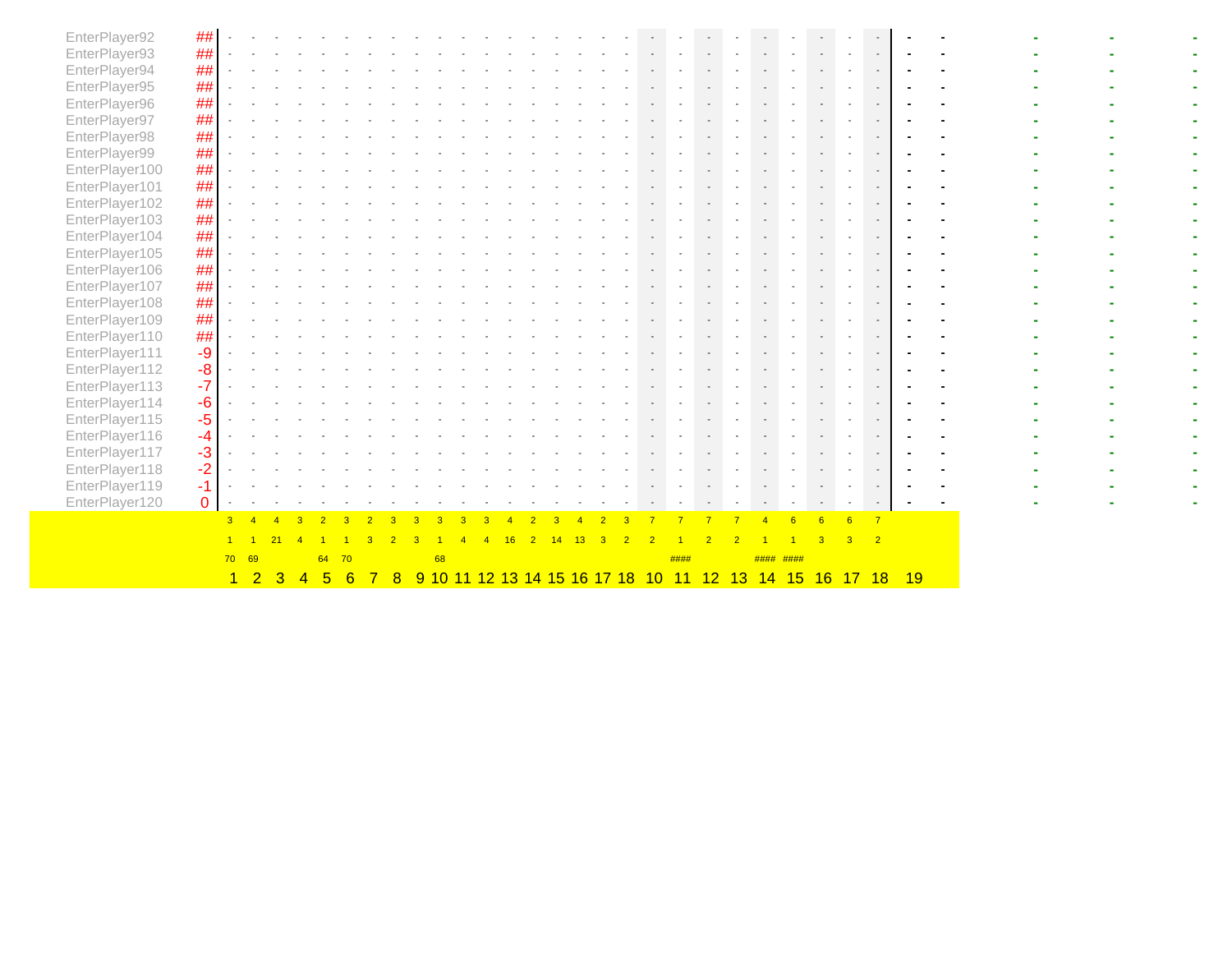|                                |                |                | $1\quad 2$     | 3 | 4 | 5  |    | 6 | 8 | 9 10 11 12 13 14 15 16 17 18 |  |  |  |  | 10 | 11   | 12 <sub>2</sub> |           |  |  | 13 14 15 16 17 18 19 |  |  |  |
|--------------------------------|----------------|----------------|----------------|---|---|----|----|---|---|------------------------------|--|--|--|--|----|------|-----------------|-----------|--|--|----------------------|--|--|--|
|                                |                | 70 69          |                |   |   | 64 | 70 |   |   | 68                           |  |  |  |  |    | #### |                 | #### #### |  |  |                      |  |  |  |
|                                |                | 3 <sup>1</sup> | $\overline{4}$ |   |   |    |    |   |   |                              |  |  |  |  |    |      |                 |           |  |  |                      |  |  |  |
| EnterPlayer120                 | $\overline{0}$ |                |                |   |   |    |    |   |   |                              |  |  |  |  |    |      |                 |           |  |  |                      |  |  |  |
| EnterPlayer119                 | $-1.1$         |                |                |   |   |    |    |   |   |                              |  |  |  |  |    |      |                 |           |  |  |                      |  |  |  |
| EnterPlayer118                 | $-2$           |                |                |   |   |    |    |   |   |                              |  |  |  |  |    |      |                 |           |  |  |                      |  |  |  |
| EnterPlayer117                 | $-3$           |                |                |   |   |    |    |   |   |                              |  |  |  |  |    |      |                 |           |  |  |                      |  |  |  |
| EnterPlayer116                 | $-4$           |                |                |   |   |    |    |   |   |                              |  |  |  |  |    |      |                 |           |  |  |                      |  |  |  |
| EnterPlayer115                 | $-5$           |                |                |   |   |    |    |   |   |                              |  |  |  |  |    |      |                 |           |  |  |                      |  |  |  |
| EnterPlayer114                 | $-6$           |                |                |   |   |    |    |   |   |                              |  |  |  |  |    |      |                 |           |  |  |                      |  |  |  |
| EnterPlayer113                 | $-7$           |                |                |   |   |    |    |   |   |                              |  |  |  |  |    |      |                 |           |  |  |                      |  |  |  |
| EnterPlayer112                 | $-8$           |                |                |   |   |    |    |   |   |                              |  |  |  |  |    |      |                 |           |  |  |                      |  |  |  |
| EnterPlayer111                 | -9             |                |                |   |   |    |    |   |   |                              |  |  |  |  |    |      |                 |           |  |  |                      |  |  |  |
| EnterPlayer110                 | ##             |                |                |   |   |    |    |   |   |                              |  |  |  |  |    |      |                 |           |  |  |                      |  |  |  |
| EnterPlayer109                 | ##             |                |                |   |   |    |    |   |   |                              |  |  |  |  |    |      |                 |           |  |  |                      |  |  |  |
| EnterPlayer108                 | ##             |                |                |   |   |    |    |   |   |                              |  |  |  |  |    |      |                 |           |  |  |                      |  |  |  |
| EnterPlayer107                 | $\# \#$        |                |                |   |   |    |    |   |   |                              |  |  |  |  |    |      |                 |           |  |  |                      |  |  |  |
| EnterPlayer106                 | ##             |                |                |   |   |    |    |   |   |                              |  |  |  |  |    |      |                 |           |  |  |                      |  |  |  |
| EnterPlayer105                 | ##             |                |                |   |   |    |    |   |   |                              |  |  |  |  |    |      |                 |           |  |  |                      |  |  |  |
| EnterPlayer104                 | ##             |                |                |   |   |    |    |   |   |                              |  |  |  |  |    |      |                 |           |  |  |                      |  |  |  |
| EnterPlayer103                 | ##             |                |                |   |   |    |    |   |   |                              |  |  |  |  |    |      |                 |           |  |  |                      |  |  |  |
| EnterPlayer102                 | $\# \#$        |                |                |   |   |    |    |   |   |                              |  |  |  |  |    |      |                 |           |  |  |                      |  |  |  |
| EnterPlayer101                 | $\# \#$        |                |                |   |   |    |    |   |   |                              |  |  |  |  |    |      |                 |           |  |  |                      |  |  |  |
| EnterPlayer100                 | ##             |                |                |   |   |    |    |   |   |                              |  |  |  |  |    |      |                 |           |  |  |                      |  |  |  |
| EnterPlayer99                  | ##             |                |                |   |   |    |    |   |   |                              |  |  |  |  |    |      |                 |           |  |  |                      |  |  |  |
| EnterPlayer98                  | ##             |                |                |   |   |    |    |   |   |                              |  |  |  |  |    |      |                 |           |  |  |                      |  |  |  |
| EnterPlayer97                  | $\# \#$        |                |                |   |   |    |    |   |   |                              |  |  |  |  |    |      |                 |           |  |  |                      |  |  |  |
| EnterPlayer96                  | ##             |                |                |   |   |    |    |   |   |                              |  |  |  |  |    |      |                 |           |  |  |                      |  |  |  |
| EnterPlayer95                  | ##             |                |                |   |   |    |    |   |   |                              |  |  |  |  |    |      |                 |           |  |  |                      |  |  |  |
| EnterPlayer93<br>EnterPlayer94 | ##<br>$\# \#$  |                |                |   |   |    |    |   |   |                              |  |  |  |  |    |      |                 |           |  |  |                      |  |  |  |
|                                |                |                |                |   |   |    |    |   |   |                              |  |  |  |  |    |      |                 |           |  |  |                      |  |  |  |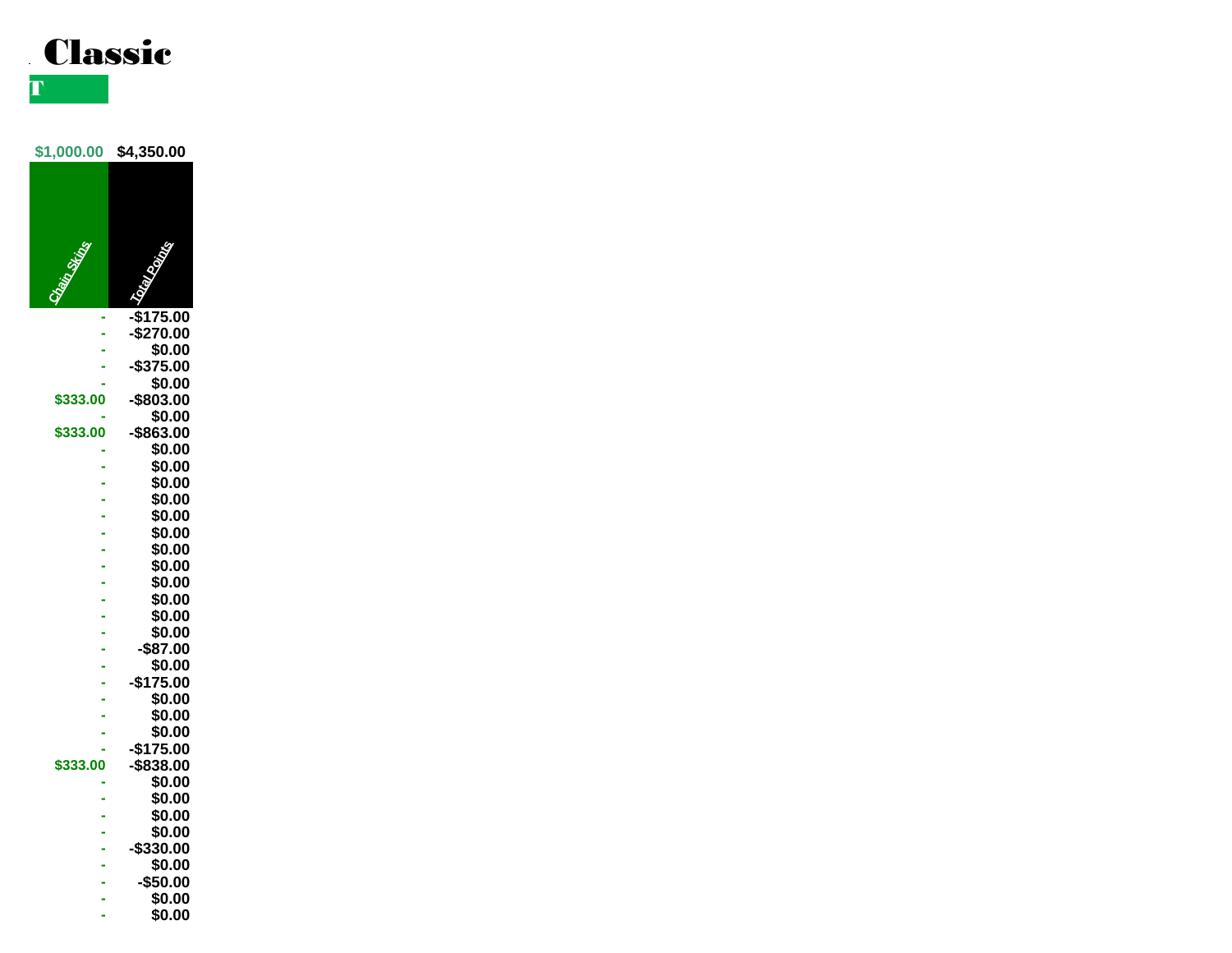

**PAYOUT SHEET** 

**\$1,000.00 \$4,350.00**



**\$333.00 -\$863.00 - \$0.00 - \$0.00 - \$0.00 - \$0.00 - \$0.00 - \$0.00 - \$0.00 - \$0.00 - \$0.00 - \$0.00 - \$0.00 - \$0.00 - -\$87.00 - \$0.00 - -\$175.00 - \$0.00 - \$0.00 - \$0.00 - -\$175.00 \$333.00 -\$838.00 - \$0.00 - \$0.00 - \$0.00 - \$0.00**

- **- -\$330.00 - \$0.00 - -\$50.00**
- **- \$0.00**
- **- \$0.00**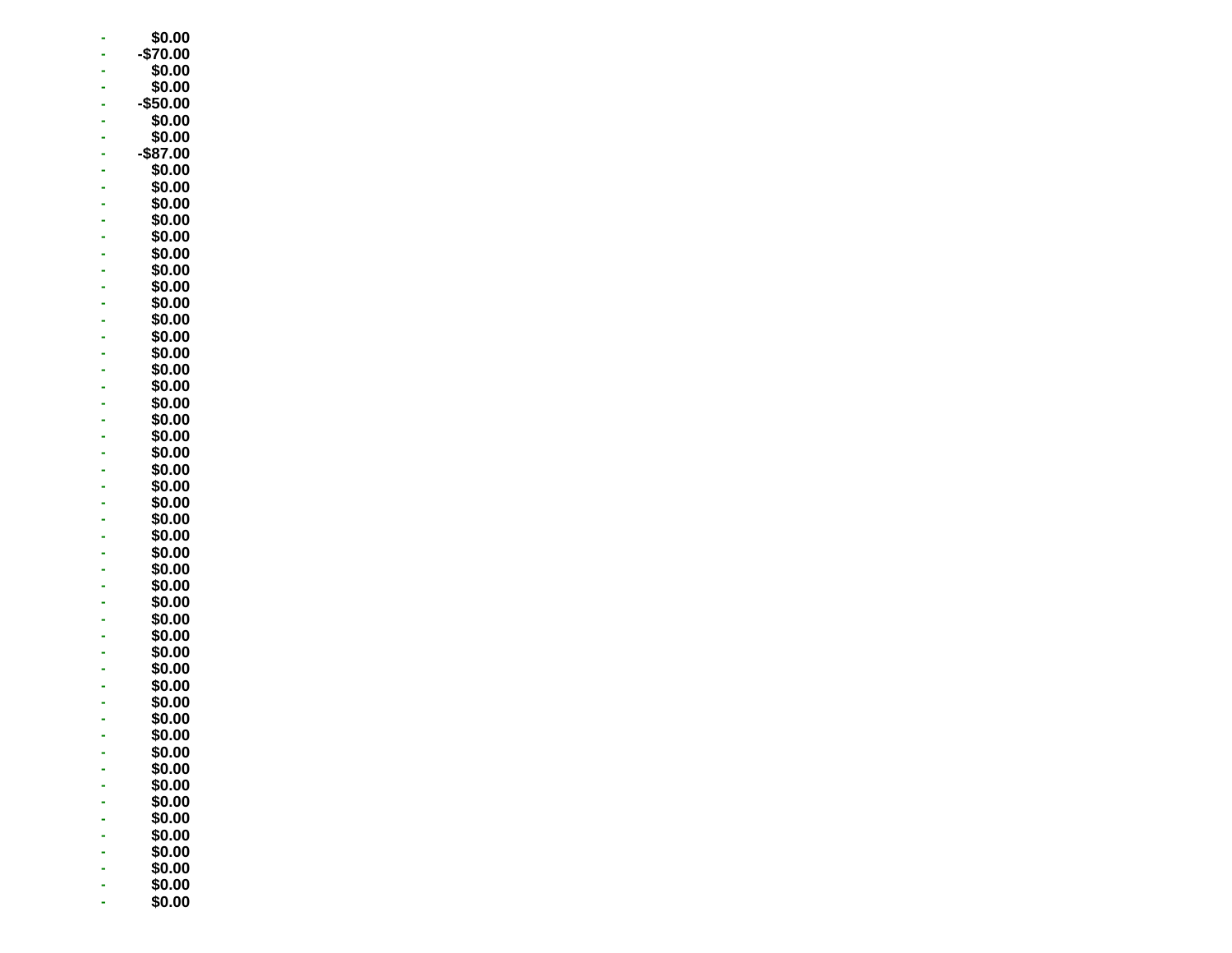|               | \$0.00           |
|---------------|------------------|
|               | -\$70.00         |
|               | \$0.00           |
|               | \$0.00           |
|               | \$50.00          |
|               | \$0.00           |
| $\frac{1}{2}$ | \$0.00           |
|               | \$87.00          |
|               | \$0.00           |
|               | \$0.00           |
|               | \$0.00           |
| ------------- | \$0.00           |
|               | \$0.00           |
|               | \$0.00           |
|               | \$0.00           |
|               | \$0.00           |
|               | \$0.00           |
|               | \$0.00           |
|               | \$0.00<br>\$0.00 |
|               | \$0.00           |
|               | \$0.00           |
|               | \$0.00           |
|               | \$0.00           |
|               | \$0.00           |
| -----------   | \$0.00           |
|               | \$0.00           |
|               | \$0.00           |
|               | \$0.00           |
|               | \$0.00           |
|               | \$0.00           |
|               | \$0.00           |
|               | \$0.00           |
|               | \$0.00           |
|               | \$0.00           |
|               | \$0.00           |
|               | \$0.00           |
|               | \$0.00           |
| $\frac{1}{2}$ | \$0.00           |
| l             | \$0.00           |
|               | \$0.00<br>\$Ი.ᲘᲘ |
|               | \$0.00           |
|               | \$0.00           |
|               | \$0.00           |
|               | \$0.00           |
|               | \$0.00           |
|               | \$0.00           |
|               | \$0.00           |
|               | \$0.00           |
|               | \$0.00           |
|               | \$0.00           |
|               | \$0.00           |